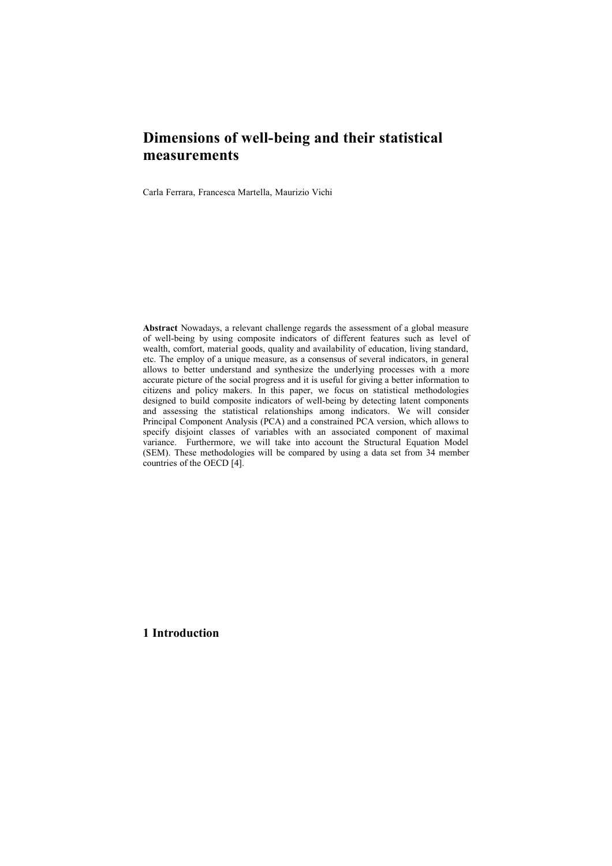## **Dimensions of well-being and their statistical measurements**

Carla Ferrara, Francesca Martella, Maurizio Vichi

**Abstract** Nowadays, a relevant challenge regards the assessment of a global measure of well-being by using composite indicators of different features such as level of wealth, comfort, material goods, quality and availability of education, living standard, etc. The employ of a unique measure, as a consensus of several indicators, in general allows to better understand and synthesize the underlying processes with a more accurate picture of the social progress and it is useful for giving a better information to citizens and policy makers. In this paper, we focus on statistical methodologies designed to build composite indicators of well-being by detecting latent components and assessing the statistical relationships among indicators. We will consider Principal Component Analysis (PCA) and a constrained PCA version, which allows to specify disjoint classes of variables with an associated component of maximal variance. Furthermore, we will take into account the Structural Equation Model (SEM). These methodologies will be compared by using a data set from 34 member countries of the OECD [4].

**1 Introduction**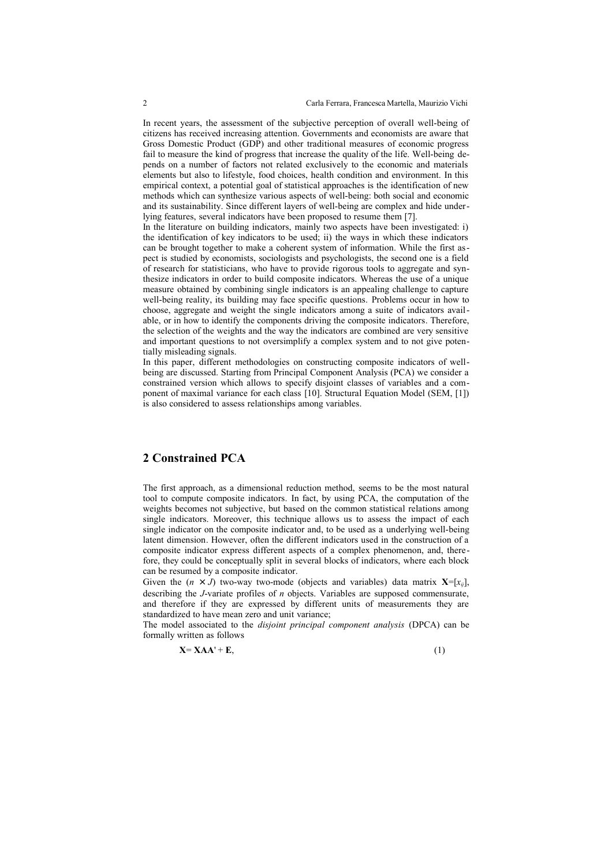In recent years, the assessment of the subjective perception of overall well-being of citizens has received increasing attention. Governments and economists are aware that Gross Domestic Product (GDP) and other traditional measures of economic progress fail to measure the kind of progress that increase the quality of the life. Well-being depends on a number of factors not related exclusively to the economic and materials elements but also to lifestyle, food choices, health condition and environment. In this empirical context, a potential goal of statistical approaches is the identification of new methods which can synthesize various aspects of well-being: both social and economic and its sustainability. Since different layers of well-being are complex and hide underlying features, several indicators have been proposed to resume them [7].

In the literature on building indicators, mainly two aspects have been investigated: i) the identification of key indicators to be used; ii) the ways in which these indicators can be brought together to make a coherent system of information. While the first aspect is studied by economists, sociologists and psychologists, the second one is a field of research for statisticians, who have to provide rigorous tools to aggregate and synthesize indicators in order to build composite indicators. Whereas the use of a unique measure obtained by combining single indicators is an appealing challenge to capture well-being reality, its building may face specific questions. Problems occur in how to choose, aggregate and weight the single indicators among a suite of indicators available, or in how to identify the components driving the composite indicators. Therefore, the selection of the weights and the way the indicators are combined are very sensitive and important questions to not oversimplify a complex system and to not give potentially misleading signals.

In this paper, different methodologies on constructing composite indicators of wellbeing are discussed. Starting from Principal Component Analysis (PCA) we consider a constrained version which allows to specify disjoint classes of variables and a component of maximal variance for each class [10]. Structural Equation Model (SEM, [1]) is also considered to assess relationships among variables.

## **2 Constrained PCA**

The first approach, as a dimensional reduction method, seems to be the most natural tool to compute composite indicators. In fact, by using PCA, the computation of the weights becomes not subjective, but based on the common statistical relations among single indicators. Moreover, this technique allows us to assess the impact of each single indicator on the composite indicator and, to be used as a underlying well-being latent dimension. However, often the different indicators used in the construction of a composite indicator express different aspects of a complex phenomenon, and, therefore, they could be conceptually split in several blocks of indicators, where each block can be resumed by a composite indicator.

Given the  $(n \times J)$  two-way two-mode (objects and variables) data matrix  $\mathbf{X}=[x_{ij}]$ , describing the *J*-variate profiles of *n* objects. Variables are supposed commensurate, and therefore if they are expressed by different units of measurements they are standardized to have mean zero and unit variance;

The model associated to the *disjoint principal component analysis* (DPCA) can be formally written as follows

$$
X = XAA' + E,
$$
 (1)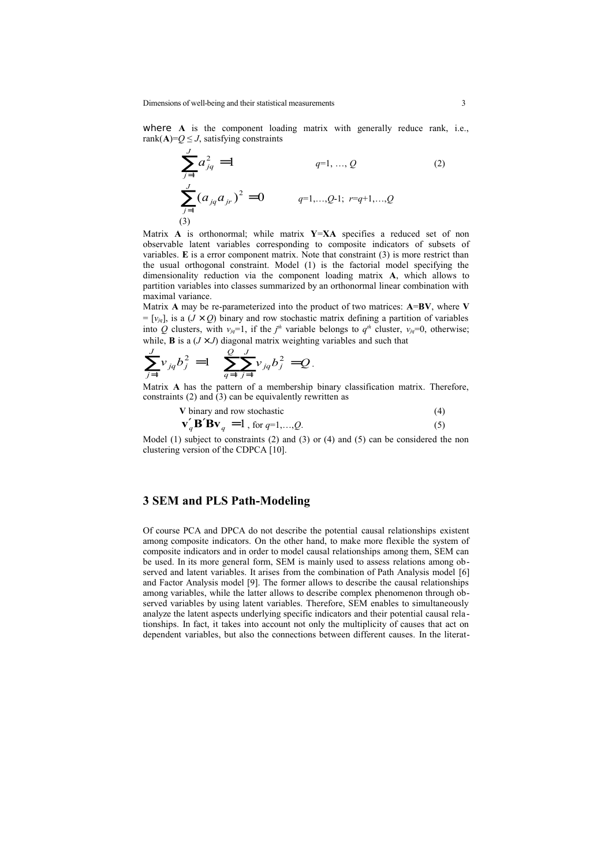where A is the component loading matrix with generally reduce rank, i.e., rank $(A)=Q \leq J$ , satisfying constraints

$$
\sum_{j=1}^{J} a_{jq}^2 = 1
$$
  $q=1,..., Q$  (2)  

$$
\sum_{j=1}^{J} (a_{jq} a_{jr})^2 = 0
$$
  $q=1,...,Q-1; r=q+1,...,Q$  (3)

Matrix **A** is orthonormal; while matrix **Y**=**XA** specifies a reduced set of non observable latent variables corresponding to composite indicators of subsets of variables. **E** is a error component matrix. Note that constraint (3) is more restrict than the usual orthogonal constraint. Model (1) is the factorial model specifying the dimensionality reduction via the component loading matrix **A**, which allows to partition variables into classes summarized by an orthonormal linear combination with maximal variance.

Matrix **A** may be re-parameterized into the product of two matrices: **A**=**BV**, where **V**  $=[v_{jq}]$ , is a (*J* × *Q*) binary and row stochastic matrix defining a partition of variables into Q clusters, with  $v_{jq} = 1$ , if the  $j^{\text{th}}$  variable belongs to  $q^{\text{th}}$  cluster,  $v_{jq} = 0$ , otherwise; while, **B** is a  $(J \times J)$  diagonal matrix weighting variables and such that

$$
\sum_{j=1}^{J} v_{jq} b_j^2 = 1 \quad \sum_{q=1}^{Q} \sum_{j=1}^{J} v_{jq} b_j^2 = Q.
$$

Matrix **A** has the pattern of a membership binary classification matrix. Therefore, constraints (2) and (3) can be equivalently rewritten as

**V** binary and row stochastic (4)

$$
\mathbf{v}'_q \mathbf{B}' \mathbf{B} \mathbf{v}_q = 1, \text{ for } q=1,\dots,Q.
$$
 (5)

Model (1) subject to constraints (2) and (3) or (4) and (5) can be considered the non clustering version of the CDPCA [10].

## **3 SEM and PLS Path-Modeling**

Of course PCA and DPCA do not describe the potential causal relationships existent among composite indicators. On the other hand, to make more flexible the system of composite indicators and in order to model causal relationships among them, SEM can be used. In its more general form, SEM is mainly used to assess relations among observed and latent variables. It arises from the combination of Path Analysis model [6] and Factor Analysis model [9]. The former allows to describe the causal relationships among variables, while the latter allows to describe complex phenomenon through observed variables by using latent variables. Therefore, SEM enables to simultaneously analyze the latent aspects underlying specific indicators and their potential causal rela tionships. In fact, it takes into account not only the multiplicity of causes that act on dependent variables, but also the connections between different causes. In the literat